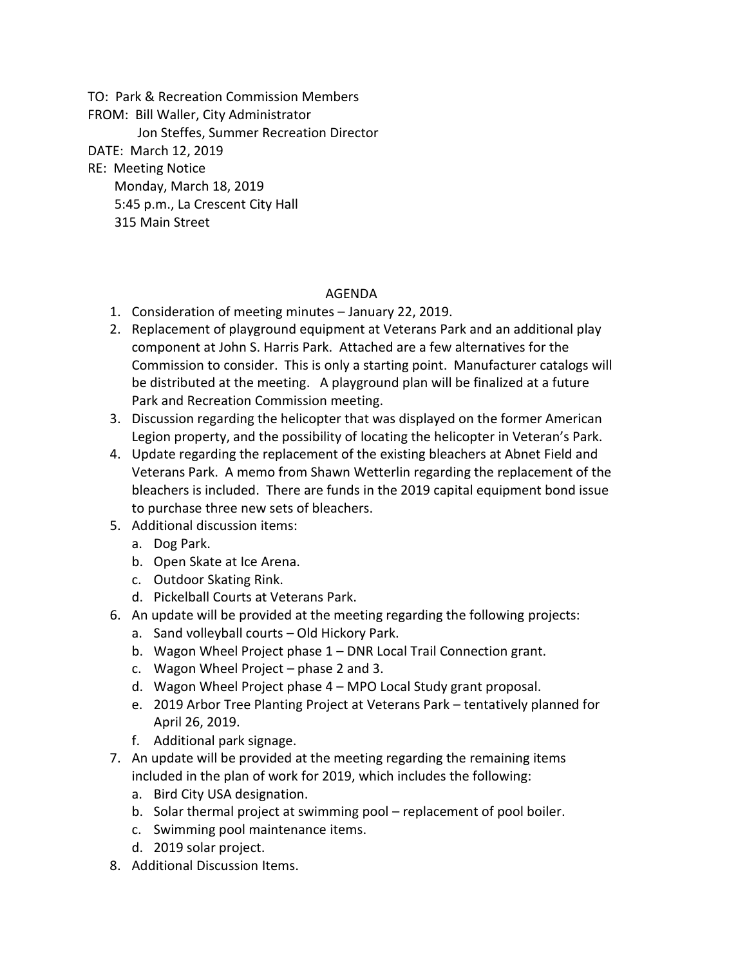TO: Park & Recreation Commission Members

FROM: Bill Waller, City Administrator

Jon Steffes, Summer Recreation Director

DATE: March 12, 2019

## RE: Meeting Notice

 Monday, March 18, 2019 5:45 p.m., La Crescent City Hall 315 Main Street

## AGENDA

- 1. Consideration of meeting minutes January 22, 2019.
- 2. Replacement of playground equipment at Veterans Park and an additional play component at John S. Harris Park. Attached are a few alternatives for the Commission to consider. This is only a starting point. Manufacturer catalogs will be distributed at the meeting. A playground plan will be finalized at a future Park and Recreation Commission meeting.
- 3. Discussion regarding the helicopter that was displayed on the former American Legion property, and the possibility of locating the helicopter in Veteran's Park.
- 4. Update regarding the replacement of the existing bleachers at Abnet Field and Veterans Park. A memo from Shawn Wetterlin regarding the replacement of the bleachers is included. There are funds in the 2019 capital equipment bond issue to purchase three new sets of bleachers.
- 5. Additional discussion items:
	- a. Dog Park.
	- b. Open Skate at Ice Arena.
	- c. Outdoor Skating Rink.
	- d. Pickelball Courts at Veterans Park.
- 6. An update will be provided at the meeting regarding the following projects:
	- a. Sand volleyball courts Old Hickory Park.
	- b. Wagon Wheel Project phase 1 DNR Local Trail Connection grant.
	- c. Wagon Wheel Project phase 2 and 3.
	- d. Wagon Wheel Project phase 4 MPO Local Study grant proposal.
	- e. 2019 Arbor Tree Planting Project at Veterans Park tentatively planned for April 26, 2019.
	- f. Additional park signage.
- 7. An update will be provided at the meeting regarding the remaining items included in the plan of work for 2019, which includes the following:
	- a. Bird City USA designation.
	- b. Solar thermal project at swimming pool replacement of pool boiler.
	- c. Swimming pool maintenance items.
	- d. 2019 solar project.
- 8. Additional Discussion Items.